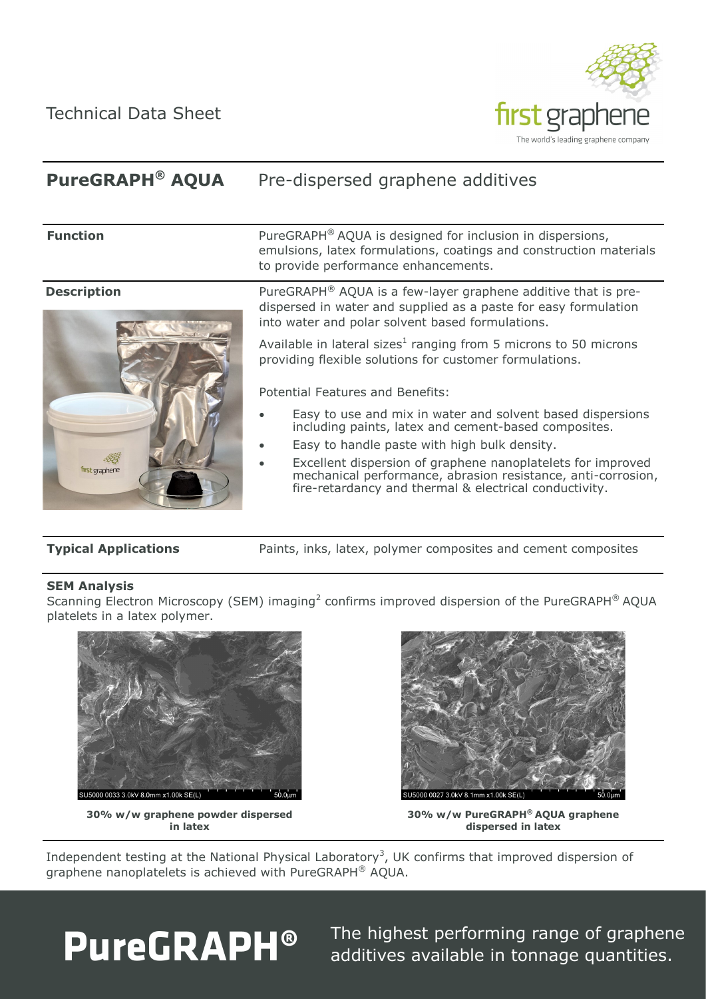Technical Data Sheet



### **PureGRAPH® AQUA** Pre-dispersed graphene additives



**Function** PureGRAPH<sup>®</sup> AQUA is designed for inclusion in dispersions, emulsions, latex formulations, coatings and construction materials to provide performance enhancements.

**Description** PureGRAPH<sup>®</sup> AQUA is a few-layer graphene additive that is predispersed in water and supplied as a paste for easy formulation into water and polar solvent based formulations.

> Available in lateral sizes<sup>1</sup> ranging from 5 microns to 50 microns providing flexible solutions for customer formulations.

Potential Features and Benefits:

- Easy to use and mix in water and solvent based dispersions including paints, latex and cement-based composites.
- Easy to handle paste with high bulk density.
- Excellent dispersion of graphene nanoplatelets for improved mechanical performance, abrasion resistance, anti-corrosion, fire-retardancy and thermal & electrical conductivity.

**Typical Applications Paints, inks, latex, polymer composites and cement composites** 

## **SEM Analysis**

Scanning Electron Microscopy (SEM) imaging<sup>2</sup> confirms improved dispersion of the PureGRAPH<sup>®</sup> AQUA platelets in a latex polymer.



**30% w/w graphene powder dispersed in latex**



**30% w/w PureGRAPH® AQUA graphene dispersed in latex**

Independent testing at the National Physical Laboratory<sup>3</sup>, UK confirms that improved dispersion of graphene nanoplatelets is achieved with PureGRAPH® AQUA.



The highest performing range of graphene additives available in tonnage quantities.